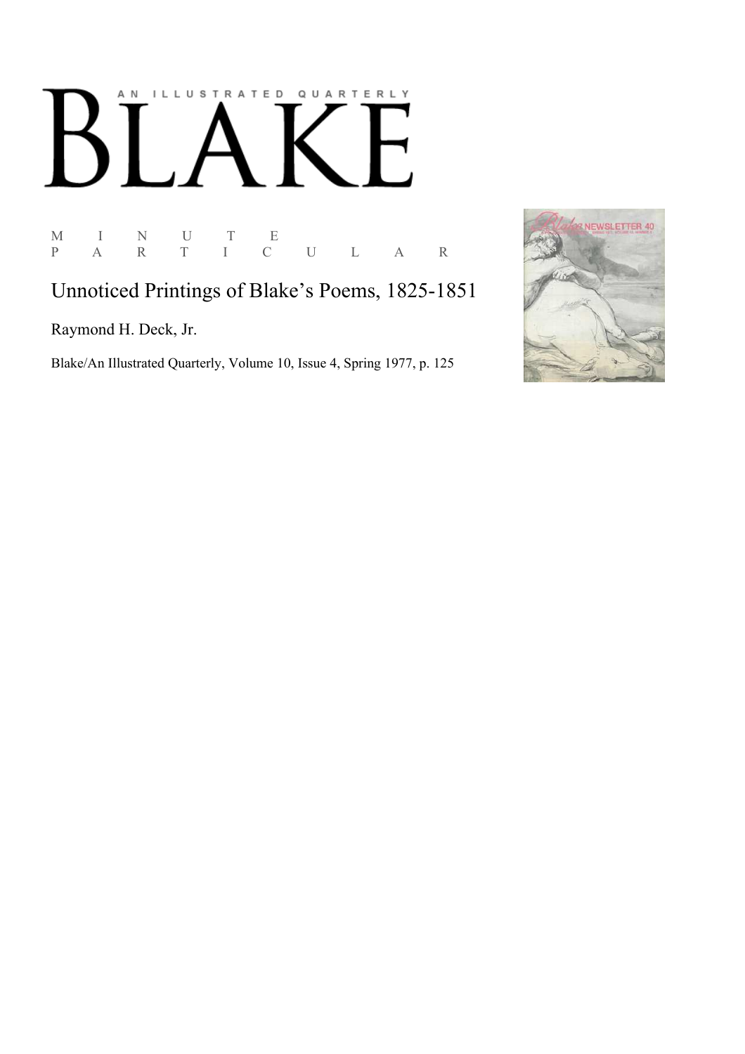# AN ILLUSTRATED QUARTERLY  $\lceil$  $\bf{B}$ Í

M I N U T E P A R T I C U L A R

Unnoticed Printings of Blake's Poems, 1825-1851

Raymond H. Deck, Jr.

Blake/An Illustrated Quarterly, Volume 10, Issue 4, Spring 1977, p. 125